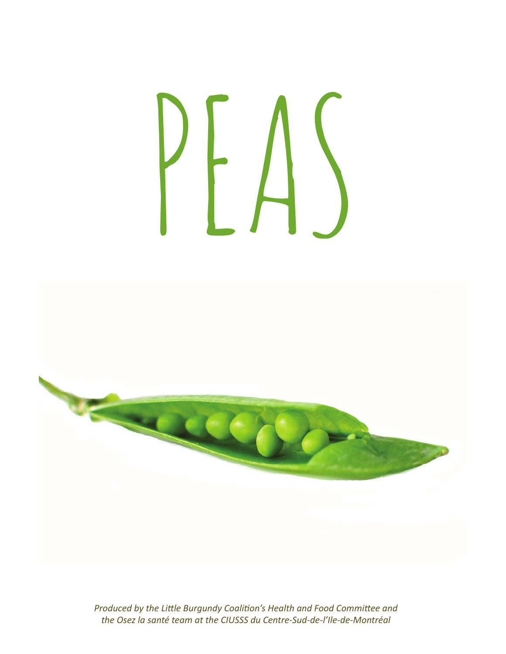# PEAS



*Produced by the Little Burgundy Coalition's Health and Food Committee and the Osez la santé team at the CIUSSS du Centre-Sud-de-l'Ile-de-Montréal*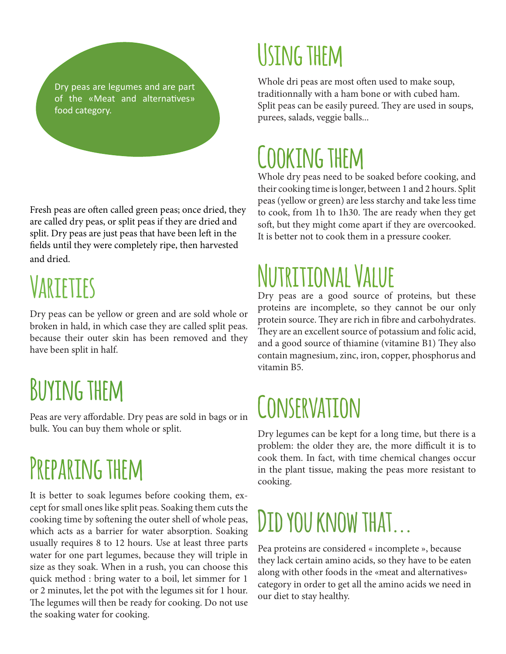Dry peas are legumes and are part of the «Meat and alternatives» food category.

Fresh peas are often called green peas; once dried, they are called dry peas, or split peas if they are dried and split. Dry peas are just peas that have been left in the fields until they were completely ripe, then harvested and dried.

## **Varieties**

Dry peas can be yellow or green and are sold whole or broken in hald, in which case they are called split peas. because their outer skin has been removed and they have been split in half.

#### **Buying them**

Peas are very affordable. Dry peas are sold in bags or in bulk. You can buy them whole or split.

#### **Preparing them**

It is better to soak legumes before cooking them, except for small ones like split peas. Soaking them cuts the cooking time by softening the outer shell of whole peas, which acts as a barrier for water absorption. Soaking usually requires 8 to 12 hours. Use at least three parts water for one part legumes, because they will triple in size as they soak. When in a rush, you can choose this quick method : bring water to a boil, let simmer for 1 or 2 minutes, let the pot with the legumes sit for 1 hour. The legumes will then be ready for cooking. Do not use the soaking water for cooking.

#### **Using them**

Whole dri peas are most often used to make soup, traditionnally with a ham bone or with cubed ham. Split peas can be easily pureed. They are used in soups, purees, salads, veggie balls...

#### **Cooking them**

Whole dry peas need to be soaked before cooking, and their cooking time is longer, between 1 and 2 hours. Split peas (yellow or green) are less starchy and take less time to cook, from 1h to 1h30. The are ready when they get soft, but they might come apart if they are overcooked. It is better not to cook them in a pressure cooker.

# **Nutritional Value**

Dry peas are a good source of proteins, but these proteins are incomplete, so they cannot be our only protein source. They are rich in fibre and carbohydrates. They are an excellent source of potassium and folic acid, and a good source of thiamine (vitamine B1) They also contain magnesium, zinc, iron, copper, phosphorus and vitamin B5.

# **Conservation**

Dry legumes can be kept for a long time, but there is a problem: the older they are, the more difficult it is to cook them. In fact, with time chemical changes occur in the plant tissue, making the peas more resistant to cooking.

#### **Did you know that...**

Pea proteins are considered « incomplete », because they lack certain amino acids, so they have to be eaten along with other foods in the «meat and alternatives» category in order to get all the amino acids we need in our diet to stay healthy.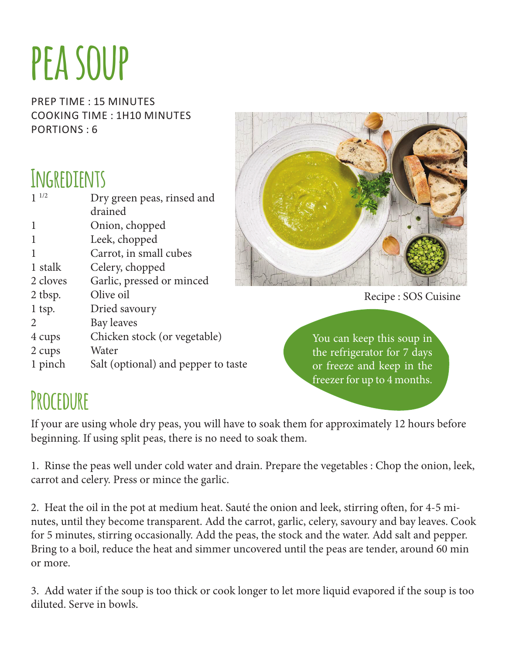# **pea soup**

prep time : 15 minutes cooking time : 1h10 minutes Portions : 6

#### **Ingredients**

| 1/2           | Dry green peas, rinsed and          |
|---------------|-------------------------------------|
|               | drained                             |
|               | Onion, chopped                      |
|               | Leek, chopped                       |
|               | Carrot, in small cubes              |
| 1 stalk       | Celery, chopped                     |
| 2 cloves      | Garlic, pressed or minced           |
| 2 tbsp.       | Olive oil                           |
| $1$ tsp.      | Dried savoury                       |
| $\mathcal{L}$ | Bay leaves                          |
| 4 cups        | Chicken stock (or vegetable)        |
| 2 cups        | Water                               |
| 1 pinch       | Salt (optional) and pepper to taste |
|               |                                     |



Recipe : SOS Cuisine

You can keep this soup in the refrigerator for 7 days or freeze and keep in the freezer for up to 4 months.

#### **Procedure**

If your are using whole dry peas, you will have to soak them for approximately 12 hours before beginning. If using split peas, there is no need to soak them.

1. Rinse the peas well under cold water and drain. Prepare the vegetables : Chop the onion, leek, carrot and celery. Press or mince the garlic.

2. Heat the oil in the pot at medium heat. Sauté the onion and leek, stirring often, for 4-5 minutes, until they become transparent. Add the carrot, garlic, celery, savoury and bay leaves. Cook for 5 minutes, stirring occasionally. Add the peas, the stock and the water. Add salt and pepper. Bring to a boil, reduce the heat and simmer uncovered until the peas are tender, around 60 min or more.

3. Add water if the soup is too thick or cook longer to let more liquid evapored if the soup is too diluted. Serve in bowls.